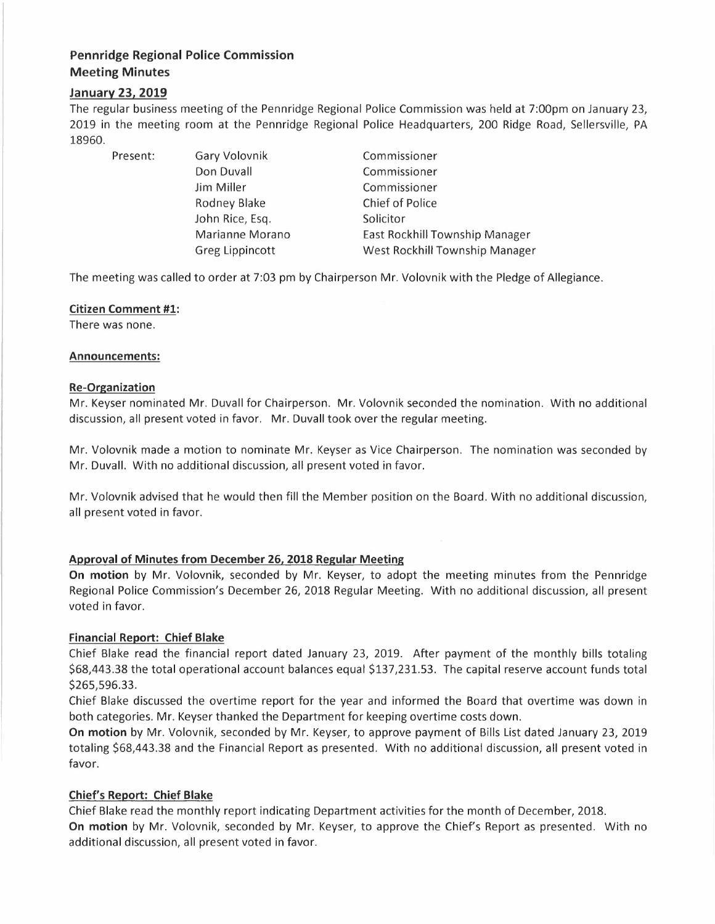# **Pennridge Regional Police Commission Meeting Minutes**

# **January 23, 2019**

The regular business meeting of the Pennridge Regional Police Commission was held at 7:00pm on January 23, 2019 in the meeting room at the Pennridge Regional Police Headquarters, 200 Ridge Road, Sellersville, PA 18960.

Present: Gary Volovnik Don Duvall Jim Miller Rodney Blake John Rice, Esq. Marianne Morano Greg Lippincott

Commissioner Commissioner Commissioner Chief of Police Solicitor East Rockhill Township Manager West Rockhill Township Manager

The meeting was called to order at 7:03 pm by Chairperson Mr. Volovnik with the Pledge of Allegiance.

# **Citizen Comment #1:**

There was none.

#### **Announcements:**

#### **Re-Organization**

Mr. Keyser nominated Mr. Duvall for Chairperson. Mr. Volovnik seconded the nomination. With no additional discussion, all present voted in favor. Mr. Duvall took over the regular meeting.

Mr. Volovnik made a motion to nominate Mr. Keyser as Vice Chairperson. The nomination was seconded by Mr. Duvall. With no additional discussion, all present voted in favor.

Mr. Volovnik advised that he would then fill the Member position on the Board. With no additional discussion, all present voted in favor.

# **Approval of Minutes from December 26, 2018 Regular Meeting**

**On motion** by Mr. Volovnik, seconded by Mr. Keyser, to adopt the meeting minutes from the Pennridge Regional Police Commission's December 26, 2018 Regular Meeting. With no additional discussion, all present voted in favor.

# **Financial Report: Chief Blake**

Chief Blake read the financial report dated January 23, 2019. After payment of the monthly bills totaling \$68,443.38 the total operational account balances equal \$137,231.53. The capital reserve account funds total \$265,596.33.

Chief Blake discussed the overtime report for the year and informed the Board that overtime was down in both categories. Mr. Keyser thanked the Department for keeping overtime costs down.

**On motion** by Mr. Volovnik, seconded by Mr. Keyser, to approve payment of Bills List dated January 23, 2019 totaling \$68,443.38 and the Financial Report as presented. With no additional discussion, all present voted in favor.

# **Chief's Report: Chief Blake**

Chief Blake read the monthly report indicating Department activities for the month of December, 2018.

**On motion** by Mr. Volovnik, seconded by Mr. Keyser, to approve the Chief's Report as presented. With no additional discussion, all present voted in favor.